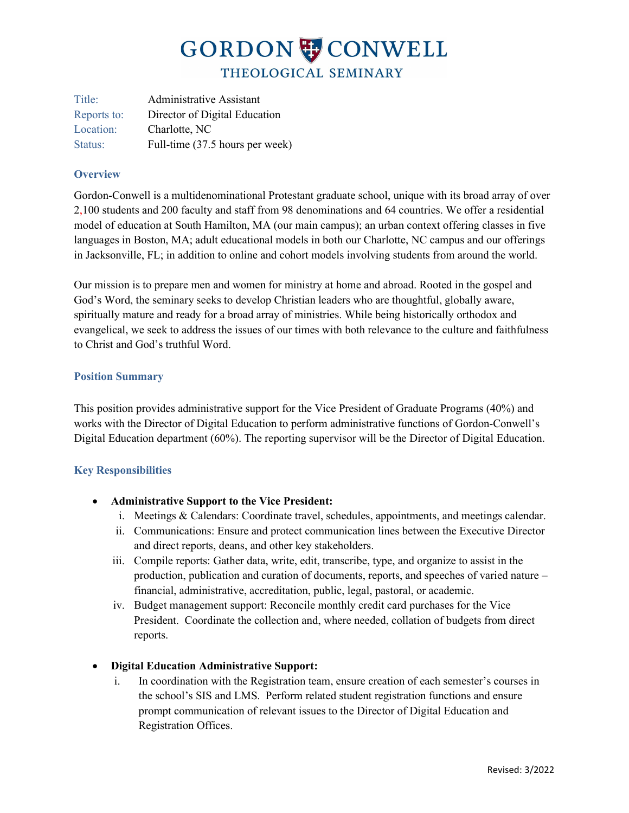## GORDON CONWELL THEOLOGICAL SEMINARY

Title: Administrative Assistant Reports to: Director of Digital Education Location: Charlotte, NC Status: Full-time (37.5 hours per week)

### **Overview**

Gordon-Conwell is a multidenominational Protestant graduate school, unique with its broad array of over 2,100 students and 200 faculty and staff from 98 denominations and 64 countries. We offer a residential model of education at South Hamilton, MA (our main campus); an urban context offering classes in five languages in Boston, MA; adult educational models in both our Charlotte, NC campus and our offerings in Jacksonville, FL; in addition to online and cohort models involving students from around the world.

Our mission is to prepare men and women for ministry at home and abroad. Rooted in the gospel and God's Word, the seminary seeks to develop Christian leaders who are thoughtful, globally aware, spiritually mature and ready for a broad array of ministries. While being historically orthodox and evangelical, we seek to address the issues of our times with both relevance to the culture and faithfulness to Christ and God's truthful Word.

### **Position Summary**

This position provides administrative support for the Vice President of Graduate Programs (40%) and works with the Director of Digital Education to perform administrative functions of Gordon-Conwell's Digital Education department (60%). The reporting supervisor will be the Director of Digital Education.

## **Key Responsibilities**

- **Administrative Support to the Vice President:** 
	- i. Meetings & Calendars: Coordinate travel, schedules, appointments, and meetings calendar.
	- ii. Communications: Ensure and protect communication lines between the Executive Director and direct reports, deans, and other key stakeholders.
	- iii. Compile reports: Gather data, write, edit, transcribe, type, and organize to assist in the production, publication and curation of documents, reports, and speeches of varied nature – financial, administrative, accreditation, public, legal, pastoral, or academic.
	- iv. Budget management support: Reconcile monthly credit card purchases for the Vice President. Coordinate the collection and, where needed, collation of budgets from direct reports.

## • **Digital Education Administrative Support:**

i. In coordination with the Registration team, ensure creation of each semester's courses in the school's SIS and LMS. Perform related student registration functions and ensure prompt communication of relevant issues to the Director of Digital Education and Registration Offices.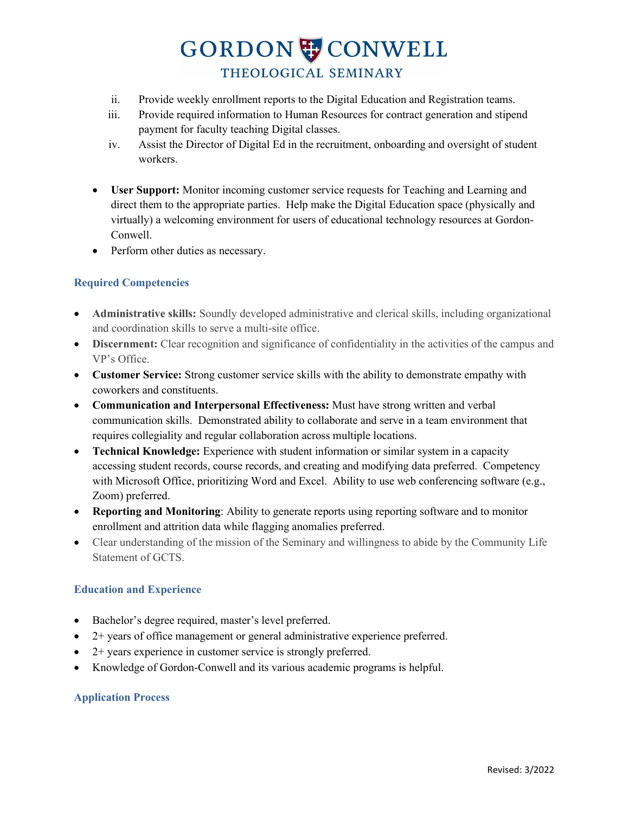# GORDON CONWELL THEOLOGICAL SEMINARY

- ii. Provide weekly enrollment reports to the Digital Education and Registration teams.
- iii. Provide required information to Human Resources for contract generation and stipend payment for faculty teaching Digital classes.
- iv. Assist the Director of Digital Ed in the recruitment, onboarding and oversight of student workers.
- **User Support:** Monitor incoming customer service requests for Teaching and Learning and direct them to the appropriate parties. Help make the Digital Education space (physically and virtually) a welcoming environment for users of educational technology resources at Gordon-Conwell.
- Perform other duties as necessary.

## **Required Competencies**

- **Administrative skills:** Soundly developed administrative and clerical skills, including organizational and coordination skills to serve a multi-site office.
- **Discernment:** Clear recognition and significance of confidentiality in the activities of the campus and VP's Office.
- **Customer Service:** Strong customer service skills with the ability to demonstrate empathy with coworkers and constituents.
- **Communication and Interpersonal Effectiveness:** Must have strong written and verbal communication skills. Demonstrated ability to collaborate and serve in a team environment that requires collegiality and regular collaboration across multiple locations.
- **Technical Knowledge:** Experience with student information or similar system in a capacity accessing student records, course records, and creating and modifying data preferred. Competency with Microsoft Office, prioritizing Word and Excel. Ability to use web conferencing software (e.g., Zoom) preferred.
- **Reporting and Monitoring**: Ability to generate reports using reporting software and to monitor enrollment and attrition data while flagging anomalies preferred.
- Clear understanding of the mission of the Seminary and willingness to abide by the Community Life Statement of GCTS.

### **Education and Experience**

- Bachelor's degree required, master's level preferred.
- 2+ years of office management or general administrative experience preferred.
- 2+ years experience in customer service is strongly preferred.
- Knowledge of Gordon-Conwell and its various academic programs is helpful.

### **Application Process**